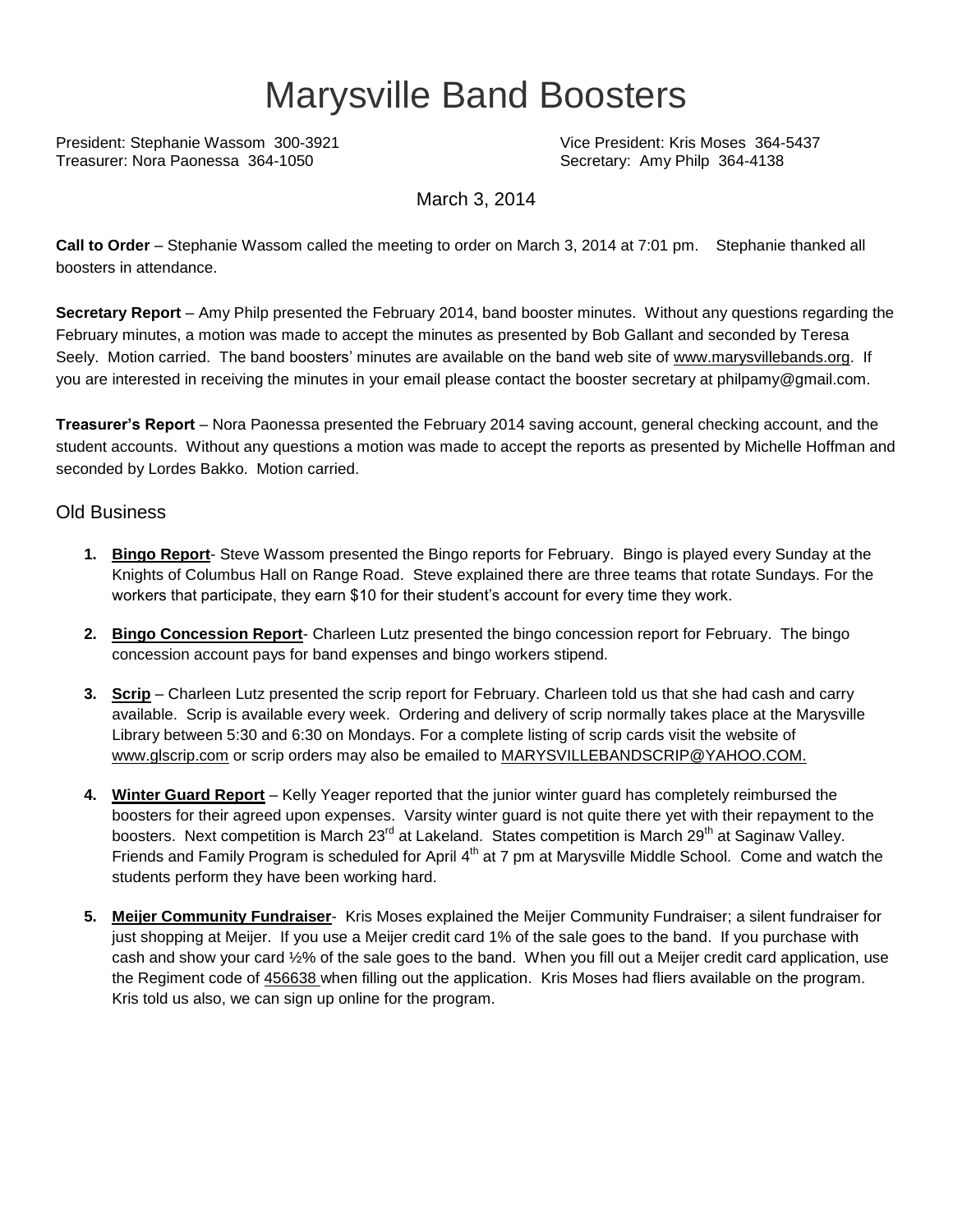## Marysville Band Boosters

President: Stephanie Wassom 300-3921 Vice President: Kris Moses 364-5437 Treasurer: Nora Paonessa 364-1050 Secretary: Amy Philp 364-4138

March 3, 2014

**Call to Order** – Stephanie Wassom called the meeting to order on March 3, 2014 at 7:01 pm. Stephanie thanked all boosters in attendance.

**Secretary Report** – Amy Philp presented the February 2014, band booster minutes. Without any questions regarding the February minutes, a motion was made to accept the minutes as presented by Bob Gallant and seconded by Teresa Seely. Motion carried. The band boosters' minutes are available on the band web site of [www.marysvillebands.org.](http://www.marysvillebands.org/) If you are interested in receiving the minutes in your email please contact the booster secretary at philpamy@gmail.com.

**Treasurer's Report** – Nora Paonessa presented the February 2014 saving account, general checking account, and the student accounts. Without any questions a motion was made to accept the reports as presented by Michelle Hoffman and seconded by Lordes Bakko. Motion carried.

## Old Business

- **1. Bingo Report** Steve Wassom presented the Bingo reports for February. Bingo is played every Sunday at the Knights of Columbus Hall on Range Road. Steve explained there are three teams that rotate Sundays. For the workers that participate, they earn \$10 for their student's account for every time they work.
- **2. Bingo Concession Report** Charleen Lutz presented the bingo concession report for February. The bingo concession account pays for band expenses and bingo workers stipend.
- **3. Scrip** Charleen Lutz presented the scrip report for February. Charleen told us that she had cash and carry available. Scrip is available every week. Ordering and delivery of scrip normally takes place at the Marysville Library between 5:30 and 6:30 on Mondays. For a complete listing of scrip cards visit the website of [www.glscrip.com](http://www.glscrip.com/) or scrip orders may also be emailed to [MARYSVILLEBANDSCRIP@YAHOO.COM.](http://us.f838.mail.yahoo.com/ym/Compose?To=MARYSVILLEBANDSCRIP@YAHOO.COM%20/%20_blank)
- **4. Winter Guard Report** Kelly Yeager reported that the junior winter guard has completely reimbursed the boosters for their agreed upon expenses. Varsity winter guard is not quite there yet with their repayment to the boosters. Next competition is March 23<sup>rd</sup> at Lakeland. States competition is March 29<sup>th</sup> at Saginaw Valley. Friends and Family Program is scheduled for April 4<sup>th</sup> at 7 pm at Marysville Middle School. Come and watch the students perform they have been working hard.
- **5. Meijer Community Fundraiser** Kris Moses explained the Meijer Community Fundraiser; a silent fundraiser for just shopping at Meijer. If you use a Meijer credit card 1% of the sale goes to the band. If you purchase with cash and show your card ½% of the sale goes to the band. When you fill out a Meijer credit card application, use the Regiment code of 456638 when filling out the application. Kris Moses had fliers available on the program. Kris told us also, we can sign up online for the program.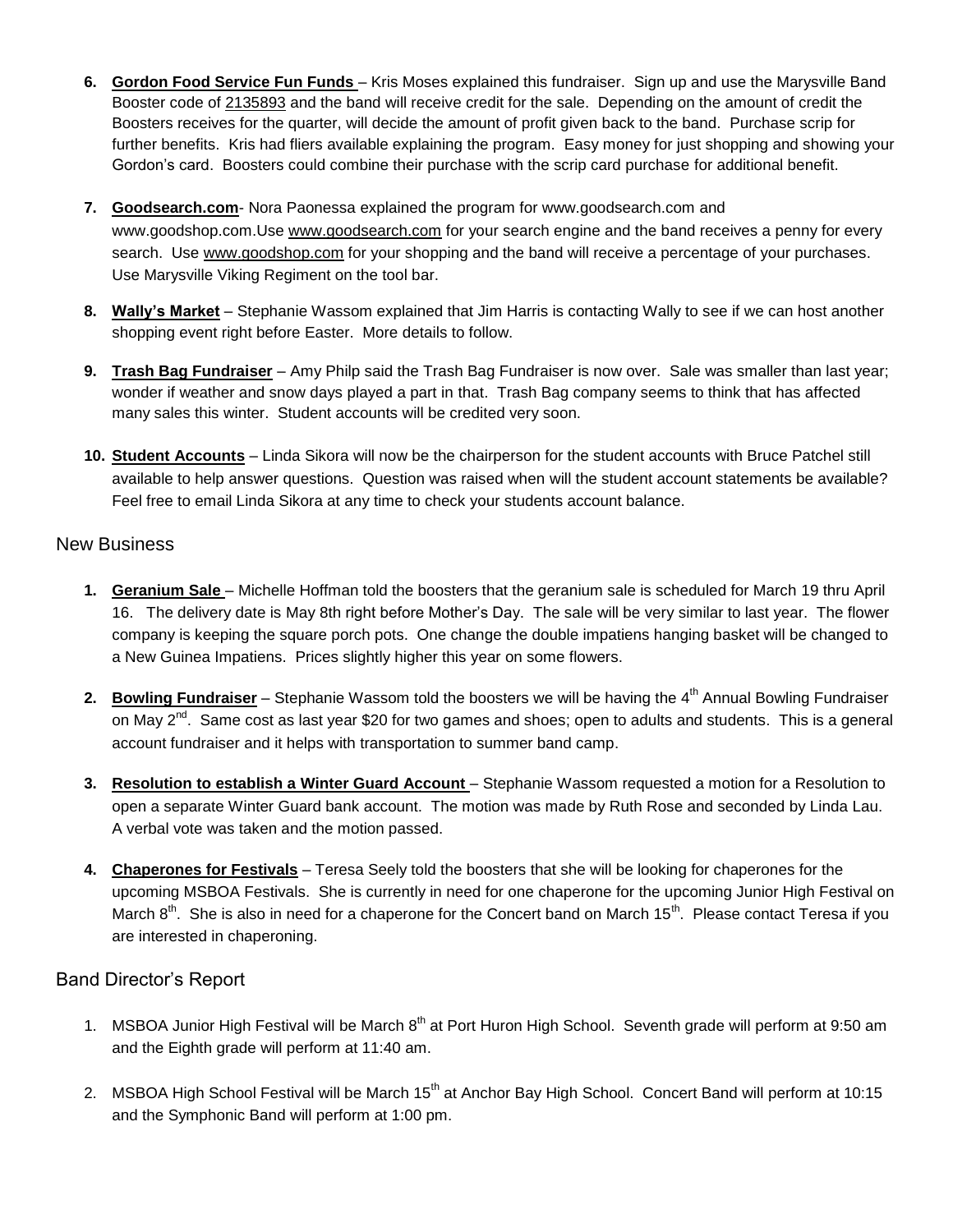- **6. Gordon Food Service Fun Funds** Kris Moses explained this fundraiser. Sign up and use the Marysville Band Booster code of 2135893 and the band will receive credit for the sale. Depending on the amount of credit the Boosters receives for the quarter, will decide the amount of profit given back to the band. Purchase scrip for further benefits. Kris had fliers available explaining the program. Easy money for just shopping and showing your Gordon's card. Boosters could combine their purchase with the scrip card purchase for additional benefit.
- **7. Goodsearch.com** Nora Paonessa explained the program for [www.goodsearch.com](http://www.goodsearch.com/) and [www.goodshop.com.](http://www.goodshop.com/)Use [www.goodsearch.com](http://www.goodsearch.com/) for your search engine and the band receives a penny for every search. Use [www.goodshop.com](http://www.goodshop.com/) for your shopping and the band will receive a percentage of your purchases. Use Marysville Viking Regiment on the tool bar.
- **8. Wally's Market** Stephanie Wassom explained that Jim Harris is contacting Wally to see if we can host another shopping event right before Easter. More details to follow.
- **9. Trash Bag Fundraiser** Amy Philp said the Trash Bag Fundraiser is now over. Sale was smaller than last year; wonder if weather and snow days played a part in that. Trash Bag company seems to think that has affected many sales this winter. Student accounts will be credited very soon.
- **10. Student Accounts** Linda Sikora will now be the chairperson for the student accounts with Bruce Patchel still available to help answer questions. Question was raised when will the student account statements be available? Feel free to email Linda Sikora at any time to check your students account balance.

## New Business

- **1. Geranium Sale** Michelle Hoffman told the boosters that the geranium sale is scheduled for March 19 thru April 16. The delivery date is May 8th right before Mother's Day. The sale will be very similar to last year. The flower company is keeping the square porch pots. One change the double impatiens hanging basket will be changed to a New Guinea Impatiens. Prices slightly higher this year on some flowers.
- 2. **Bowling Fundraiser** Stephanie Wassom told the boosters we will be having the 4<sup>th</sup> Annual Bowling Fundraiser on May 2<sup>nd</sup>. Same cost as last year \$20 for two games and shoes; open to adults and students. This is a general account fundraiser and it helps with transportation to summer band camp.
- **3. Resolution to establish a Winter Guard Account** Stephanie Wassom requested a motion for a Resolution to open a separate Winter Guard bank account. The motion was made by Ruth Rose and seconded by Linda Lau. A verbal vote was taken and the motion passed.
- **4. Chaperones for Festivals** Teresa Seely told the boosters that she will be looking for chaperones for the upcoming MSBOA Festivals. She is currently in need for one chaperone for the upcoming Junior High Festival on March  $8^{th}$ . She is also in need for a chaperone for the Concert band on March 15<sup>th</sup>. Please contact Teresa if you are interested in chaperoning.

## Band Director's Report

- 1. MSBOA Junior High Festival will be March 8<sup>th</sup> at Port Huron High School. Seventh grade will perform at 9:50 am and the Eighth grade will perform at 11:40 am.
- 2. MSBOA High School Festival will be March 15<sup>th</sup> at Anchor Bay High School. Concert Band will perform at 10:15 and the Symphonic Band will perform at 1:00 pm.